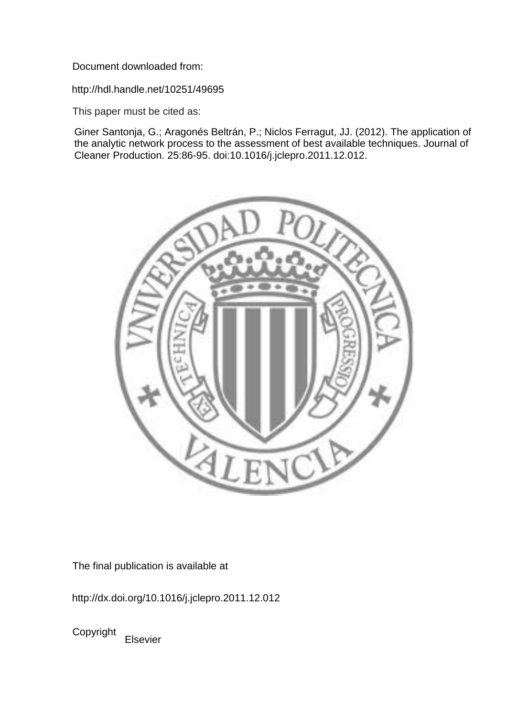Document downloaded from:

http://hdl.handle.net/10251/49695

This paper must be cited as:

Giner Santonja, G.; Aragonés Beltrán, P.; Niclos Ferragut, JJ. (2012). The application of the analytic network process to the assessment of best available techniques. Journal of Cleaner Production. 25:86-95. doi:10.1016/j.jclepro.2011.12.012.



The final publication is available at

http://dx.doi.org/10.1016/j.jclepro.2011.12.012

Copyright Elsevier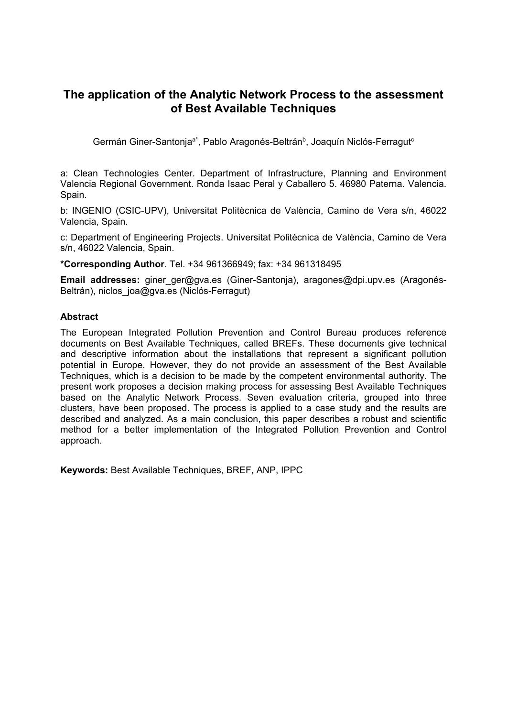# **The application of the Analytic Network Process to the assessment of Best Available Techniques**

Germán Giner-Santonja<sup>a\*</sup>, Pablo Aragonés-Beltrán<sup>b</sup>, Joaquín Niclós-Ferragut<sup>c</sup>

a: Clean Technologies Center. Department of Infrastructure, Planning and Environment Valencia Regional Government. Ronda Isaac Peral y Caballero 5. 46980 Paterna. Valencia. Spain.

b: INGENIO (CSIC-UPV), Universitat Politècnica de València, Camino de Vera s/n, 46022 Valencia, Spain.

c: Department of Engineering Projects. Universitat Politècnica de València, Camino de Vera s/n, 46022 Valencia, Spain.

**\*Corresponding Author**. Tel. +34 961366949; fax: +34 961318495

**Email addresses:** giner\_ger@gva.es (Giner-Santonja), aragones@dpi.upv.es (Aragonés-Beltrán), niclos\_joa@gva.es (Niclós-Ferragut)

#### **Abstract**

The European Integrated Pollution Prevention and Control Bureau produces reference documents on Best Available Techniques, called BREFs. These documents give technical and descriptive information about the installations that represent a significant pollution potential in Europe. However, they do not provide an assessment of the Best Available Techniques, which is a decision to be made by the competent environmental authority. The present work proposes a decision making process for assessing Best Available Techniques based on the Analytic Network Process. Seven evaluation criteria, grouped into three clusters, have been proposed. The process is applied to a case study and the results are described and analyzed. As a main conclusion, this paper describes a robust and scientific method for a better implementation of the Integrated Pollution Prevention and Control approach.

**Keywords:** Best Available Techniques, BREF, ANP, IPPC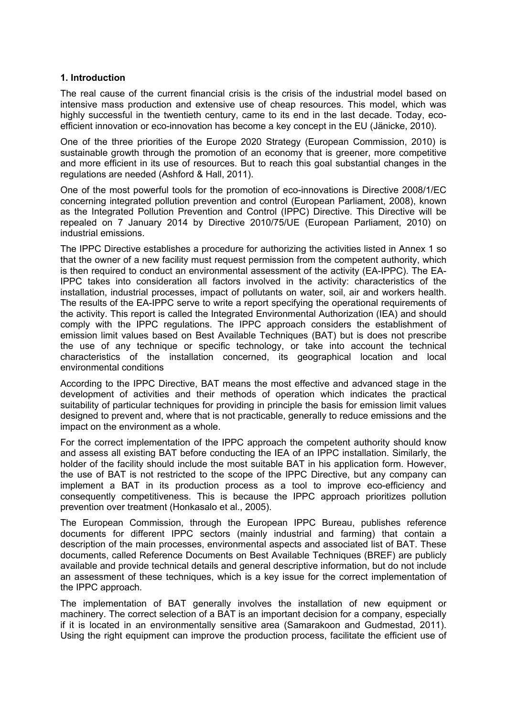## **1. Introduction**

The real cause of the current financial crisis is the crisis of the industrial model based on intensive mass production and extensive use of cheap resources. This model, which was highly successful in the twentieth century, came to its end in the last decade. Today, ecoefficient innovation or eco-innovation has become a key concept in the EU (Jänicke, 2010).

One of the three priorities of the Europe 2020 Strategy (European Commission, 2010) is sustainable growth through the promotion of an economy that is greener, more competitive and more efficient in its use of resources. But to reach this goal substantial changes in the regulations are needed (Ashford & Hall, 2011).

One of the most powerful tools for the promotion of eco-innovations is Directive 2008/1/EC concerning integrated pollution prevention and control (European Parliament, 2008), known as the Integrated Pollution Prevention and Control (IPPC) Directive. This Directive will be repealed on 7 January 2014 by Directive 2010/75/UE (European Parliament, 2010) on industrial emissions.

The IPPC Directive establishes a procedure for authorizing the activities listed in Annex 1 so that the owner of a new facility must request permission from the competent authority, which is then required to conduct an environmental assessment of the activity (EA-IPPC). The EA-IPPC takes into consideration all factors involved in the activity: characteristics of the installation, industrial processes, impact of pollutants on water, soil, air and workers health. The results of the EA-IPPC serve to write a report specifying the operational requirements of the activity. This report is called the Integrated Environmental Authorization (IEA) and should comply with the IPPC regulations. The IPPC approach considers the establishment of emission limit values based on Best Available Techniques (BAT) but is does not prescribe the use of any technique or specific technology, or take into account the technical characteristics of the installation concerned, its geographical location and local environmental conditions

According to the IPPC Directive, BAT means the most effective and advanced stage in the development of activities and their methods of operation which indicates the practical suitability of particular techniques for providing in principle the basis for emission limit values designed to prevent and, where that is not practicable, generally to reduce emissions and the impact on the environment as a whole.

For the correct implementation of the IPPC approach the competent authority should know and assess all existing BAT before conducting the IEA of an IPPC installation. Similarly, the holder of the facility should include the most suitable BAT in his application form. However, the use of BAT is not restricted to the scope of the IPPC Directive, but any company can implement a BAT in its production process as a tool to improve eco-efficiency and consequently competitiveness. This is because the IPPC approach prioritizes pollution prevention over treatment (Honkasalo et al., 2005).

The European Commission, through the European IPPC Bureau, publishes reference documents for different IPPC sectors (mainly industrial and farming) that contain a description of the main processes, environmental aspects and associated list of BAT. These documents, called Reference Documents on Best Available Techniques (BREF) are publicly available and provide technical details and general descriptive information, but do not include an assessment of these techniques, which is a key issue for the correct implementation of the IPPC approach.

The implementation of BAT generally involves the installation of new equipment or machinery. The correct selection of a BAT is an important decision for a company, especially if it is located in an environmentally sensitive area (Samarakoon and Gudmestad, 2011). Using the right equipment can improve the production process, facilitate the efficient use of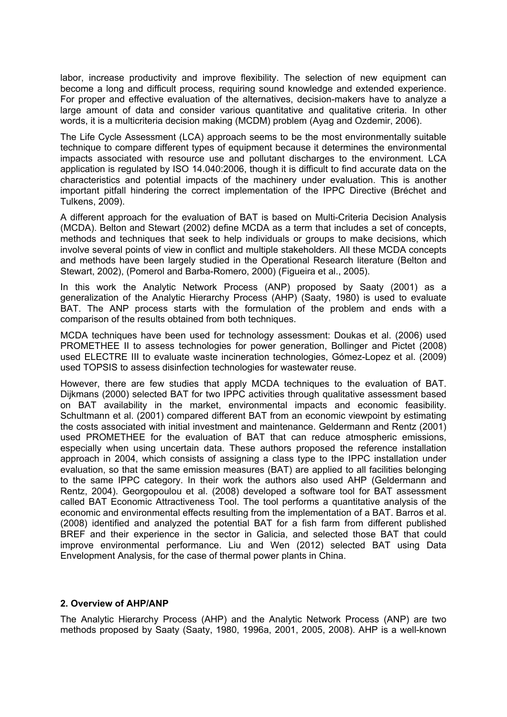labor, increase productivity and improve flexibility. The selection of new equipment can become a long and difficult process, requiring sound knowledge and extended experience. For proper and effective evaluation of the alternatives, decision-makers have to analyze a large amount of data and consider various quantitative and qualitative criteria. In other words, it is a multicriteria decision making (MCDM) problem (Ayag and Ozdemir, 2006).

The Life Cycle Assessment (LCA) approach seems to be the most environmentally suitable technique to compare different types of equipment because it determines the environmental impacts associated with resource use and pollutant discharges to the environment. LCA application is regulated by ISO 14.040:2006, though it is difficult to find accurate data on the characteristics and potential impacts of the machinery under evaluation. This is another important pitfall hindering the correct implementation of the IPPC Directive (Bréchet and Tulkens, 2009).

A different approach for the evaluation of BAT is based on Multi-Criteria Decision Analysis (MCDA). Belton and Stewart (2002) define MCDA as a term that includes a set of concepts, methods and techniques that seek to help individuals or groups to make decisions, which involve several points of view in conflict and multiple stakeholders. All these MCDA concepts and methods have been largely studied in the Operational Research literature (Belton and Stewart, 2002), (Pomerol and Barba-Romero, 2000) (Figueira et al., 2005).

In this work the Analytic Network Process (ANP) proposed by Saaty (2001) as a generalization of the Analytic Hierarchy Process (AHP) (Saaty, 1980) is used to evaluate BAT. The ANP process starts with the formulation of the problem and ends with a comparison of the results obtained from both techniques.

MCDA techniques have been used for technology assessment: Doukas et al. (2006) used PROMETHEE II to assess technologies for power generation, Bollinger and Pictet (2008) used ELECTRE III to evaluate waste incineration technologies, Gómez-Lopez et al. (2009) used TOPSIS to assess disinfection technologies for wastewater reuse.

However, there are few studies that apply MCDA techniques to the evaluation of BAT. Dijkmans (2000) selected BAT for two IPPC activities through qualitative assessment based on BAT availability in the market, environmental impacts and economic feasibility. Schultmann et al. (2001) compared different BAT from an economic viewpoint by estimating the costs associated with initial investment and maintenance. Geldermann and Rentz (2001) used PROMETHEE for the evaluation of BAT that can reduce atmospheric emissions, especially when using uncertain data. These authors proposed the reference installation approach in 2004, which consists of assigning a class type to the IPPC installation under evaluation, so that the same emission measures (BAT) are applied to all facilities belonging to the same IPPC category. In their work the authors also used AHP (Geldermann and Rentz, 2004). Georgopoulou et al. (2008) developed a software tool for BAT assessment called BAT Economic Attractiveness Tool. The tool performs a quantitative analysis of the economic and environmental effects resulting from the implementation of a BAT. Barros et al. (2008) identified and analyzed the potential BAT for a fish farm from different published BREF and their experience in the sector in Galicia, and selected those BAT that could improve environmental performance. Liu and Wen (2012) selected BAT using Data Envelopment Analysis, for the case of thermal power plants in China.

## **2. Overview of AHP/ANP**

The Analytic Hierarchy Process (AHP) and the Analytic Network Process (ANP) are two methods proposed by Saaty (Saaty, 1980, 1996a, 2001, 2005, 2008). AHP is a well-known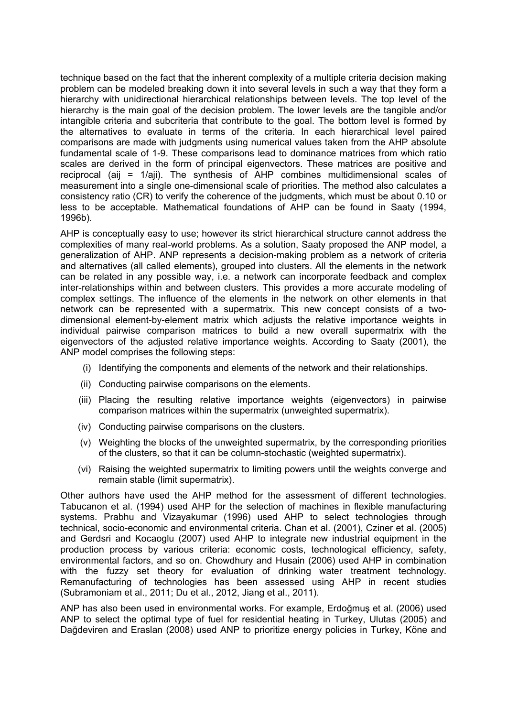technique based on the fact that the inherent complexity of a multiple criteria decision making problem can be modeled breaking down it into several levels in such a way that they form a hierarchy with unidirectional hierarchical relationships between levels. The top level of the hierarchy is the main goal of the decision problem. The lower levels are the tangible and/or intangible criteria and subcriteria that contribute to the goal. The bottom level is formed by the alternatives to evaluate in terms of the criteria. In each hierarchical level paired comparisons are made with judgments using numerical values taken from the AHP absolute fundamental scale of 1-9. These comparisons lead to dominance matrices from which ratio scales are derived in the form of principal eigenvectors. These matrices are positive and reciprocal (aij = 1/aji). The synthesis of AHP combines multidimensional scales of measurement into a single one-dimensional scale of priorities. The method also calculates a consistency ratio (CR) to verify the coherence of the judgments, which must be about 0.10 or less to be acceptable. Mathematical foundations of AHP can be found in Saaty (1994, 1996b).

AHP is conceptually easy to use; however its strict hierarchical structure cannot address the complexities of many real-world problems. As a solution, Saaty proposed the ANP model, a generalization of AHP. ANP represents a decision-making problem as a network of criteria and alternatives (all called elements), grouped into clusters. All the elements in the network can be related in any possible way, i.e. a network can incorporate feedback and complex inter-relationships within and between clusters. This provides a more accurate modeling of complex settings. The influence of the elements in the network on other elements in that network can be represented with a supermatrix. This new concept consists of a twodimensional element-by-element matrix which adjusts the relative importance weights in individual pairwise comparison matrices to build a new overall supermatrix with the eigenvectors of the adjusted relative importance weights. According to Saaty (2001), the ANP model comprises the following steps:

- (i) Identifying the components and elements of the network and their relationships.
- (ii) Conducting pairwise comparisons on the elements.
- (iii) Placing the resulting relative importance weights (eigenvectors) in pairwise comparison matrices within the supermatrix (unweighted supermatrix).
- (iv) Conducting pairwise comparisons on the clusters.
- (v) Weighting the blocks of the unweighted supermatrix, by the corresponding priorities of the clusters, so that it can be column-stochastic (weighted supermatrix).
- (vi) Raising the weighted supermatrix to limiting powers until the weights converge and remain stable (limit supermatrix).

Other authors have used the AHP method for the assessment of different technologies. Tabucanon et al. (1994) used AHP for the selection of machines in flexible manufacturing systems. Prabhu and Vizayakumar (1996) used AHP to select technologies through technical, socio-economic and environmental criteria. Chan et al. (2001), Cziner et al. (2005) and Gerdsri and Kocaoglu (2007) used AHP to integrate new industrial equipment in the production process by various criteria: economic costs, technological efficiency, safety, environmental factors, and so on. Chowdhury and Husain (2006) used AHP in combination with the fuzzy set theory for evaluation of drinking water treatment technology. Remanufacturing of technologies has been assessed using AHP in recent studies (Subramoniam et al., 2011; Du et al., 2012, Jiang et al., 2011).

ANP has also been used in environmental works. For example, Erdoğmuş et al. (2006) used ANP to select the optimal type of fuel for residential heating in Turkey, Ulutas (2005) and Dağdeviren and Eraslan (2008) used ANP to prioritize energy policies in Turkey, Köne and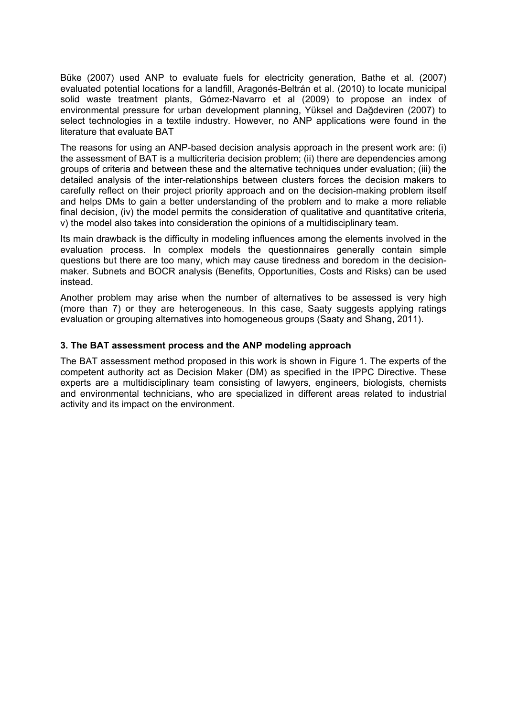Büke (2007) used ANP to evaluate fuels for electricity generation, Bathe et al. (2007) evaluated potential locations for a landfill, Aragonés-Beltrán et al. (2010) to locate municipal solid waste treatment plants, Gómez-Navarro et al (2009) to propose an index of environmental pressure for urban development planning, Yüksel and Dağdeviren (2007) to select technologies in a textile industry. However, no ANP applications were found in the literature that evaluate BAT

The reasons for using an ANP-based decision analysis approach in the present work are: (i) the assessment of BAT is a multicriteria decision problem; (ii) there are dependencies among groups of criteria and between these and the alternative techniques under evaluation; (iii) the detailed analysis of the inter-relationships between clusters forces the decision makers to carefully reflect on their project priority approach and on the decision-making problem itself and helps DMs to gain a better understanding of the problem and to make a more reliable final decision, (iv) the model permits the consideration of qualitative and quantitative criteria, v) the model also takes into consideration the opinions of a multidisciplinary team.

Its main drawback is the difficulty in modeling influences among the elements involved in the evaluation process. In complex models the questionnaires generally contain simple questions but there are too many, which may cause tiredness and boredom in the decisionmaker. Subnets and BOCR analysis (Benefits, Opportunities, Costs and Risks) can be used instead.

Another problem may arise when the number of alternatives to be assessed is very high (more than 7) or they are heterogeneous. In this case, Saaty suggests applying ratings evaluation or grouping alternatives into homogeneous groups (Saaty and Shang, 2011).

## **3. The BAT assessment process and the ANP modeling approach**

The BAT assessment method proposed in this work is shown in Figure 1. The experts of the competent authority act as Decision Maker (DM) as specified in the IPPC Directive. These experts are a multidisciplinary team consisting of lawyers, engineers, biologists, chemists and environmental technicians, who are specialized in different areas related to industrial activity and its impact on the environment.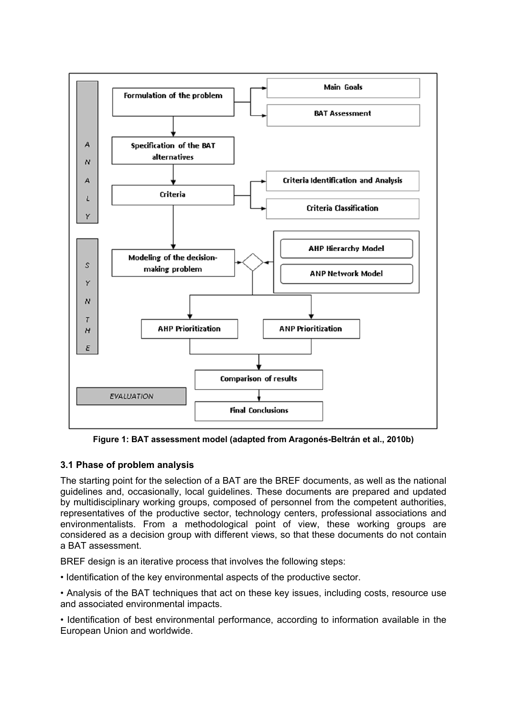

**Figure 1: BAT assessment model (adapted from Aragonés-Beltrán et al., 2010b)**

## **3.1 Phase of problem analysis**

The starting point for the selection of a BAT are the BREF documents, as well as the national guidelines and, occasionally, local guidelines. These documents are prepared and updated by multidisciplinary working groups, composed of personnel from the competent authorities, representatives of the productive sector, technology centers, professional associations and environmentalists. From a methodological point of view, these working groups are considered as a decision group with different views, so that these documents do not contain a BAT assessment.

BREF design is an iterative process that involves the following steps:

• Identification of the key environmental aspects of the productive sector.

• Analysis of the BAT techniques that act on these key issues, including costs, resource use and associated environmental impacts.

• Identification of best environmental performance, according to information available in the European Union and worldwide.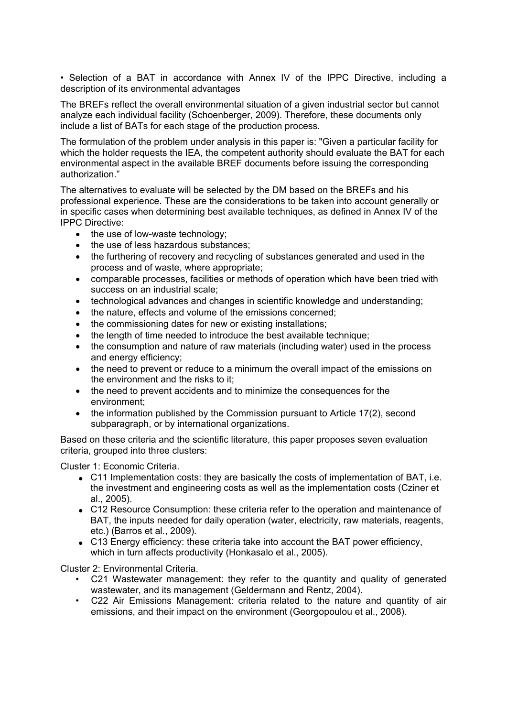• Selection of a BAT in accordance with Annex IV of the IPPC Directive, including a description of its environmental advantages

The BREFs reflect the overall environmental situation of a given industrial sector but cannot analyze each individual facility (Schoenberger, 2009). Therefore, these documents only include a list of BATs for each stage of the production process.

The formulation of the problem under analysis in this paper is: "Given a particular facility for which the holder requests the IEA, the competent authority should evaluate the BAT for each environmental aspect in the available BREF documents before issuing the corresponding authorization."

The alternatives to evaluate will be selected by the DM based on the BREFs and his professional experience. These are the considerations to be taken into account generally or in specific cases when determining best available techniques, as defined in Annex IV of the IPPC Directive:

- the use of low-waste technology:
- the use of less hazardous substances;
- the furthering of recovery and recycling of substances generated and used in the process and of waste, where appropriate;
- comparable processes, facilities or methods of operation which have been tried with success on an industrial scale;
- technological advances and changes in scientific knowledge and understanding;
- the nature, effects and volume of the emissions concerned;
- the commissioning dates for new or existing installations:
- the length of time needed to introduce the best available technique;
- the consumption and nature of raw materials (including water) used in the process and energy efficiency;
- the need to prevent or reduce to a minimum the overall impact of the emissions on the environment and the risks to it;
- the need to prevent accidents and to minimize the consequences for the environment;
- the information published by the Commission pursuant to Article 17(2), second subparagraph, or by international organizations.

Based on these criteria and the scientific literature, this paper proposes seven evaluation criteria, grouped into three clusters:

Cluster 1: Economic Criteria.

- C11 Implementation costs: they are basically the costs of implementation of BAT, i.e. the investment and engineering costs as well as the implementation costs (Cziner et al., 2005).
- C12 Resource Consumption: these criteria refer to the operation and maintenance of BAT, the inputs needed for daily operation (water, electricity, raw materials, reagents, etc.) (Barros et al., 2009).
- C13 Energy efficiency: these criteria take into account the BAT power efficiency, which in turn affects productivity (Honkasalo et al., 2005).

Cluster 2: Environmental Criteria.

- C21 Wastewater management: they refer to the quantity and quality of generated wastewater, and its management (Geldermann and Rentz, 2004).
- C22 Air Emissions Management: criteria related to the nature and quantity of air emissions, and their impact on the environment (Georgopoulou et al., 2008).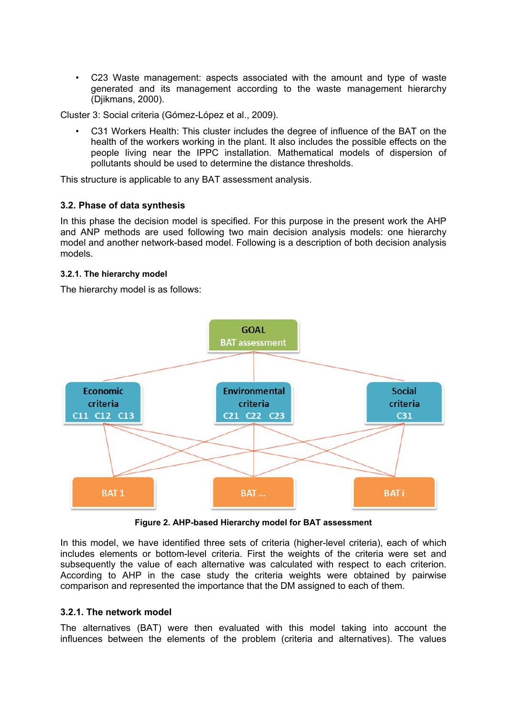• C23 Waste management: aspects associated with the amount and type of waste generated and its management according to the waste management hierarchy (Djikmans, 2000).

Cluster 3: Social criteria (Gómez-López et al., 2009).

• C31 Workers Health: This cluster includes the degree of influence of the BAT on the health of the workers working in the plant. It also includes the possible effects on the people living near the IPPC installation. Mathematical models of dispersion of pollutants should be used to determine the distance thresholds.

This structure is applicable to any BAT assessment analysis.

## **3.2. Phase of data synthesis**

In this phase the decision model is specified. For this purpose in the present work the AHP and ANP methods are used following two main decision analysis models: one hierarchy model and another network-based model. Following is a description of both decision analysis models.

## **3.2.1. The hierarchy model**

The hierarchy model is as follows:



**Figure 2. AHP-based Hierarchy model for BAT assessment** 

In this model, we have identified three sets of criteria (higher-level criteria), each of which includes elements or bottom-level criteria. First the weights of the criteria were set and subsequently the value of each alternative was calculated with respect to each criterion. According to AHP in the case study the criteria weights were obtained by pairwise comparison and represented the importance that the DM assigned to each of them.

## **3.2.1. The network model**

The alternatives (BAT) were then evaluated with this model taking into account the influences between the elements of the problem (criteria and alternatives). The values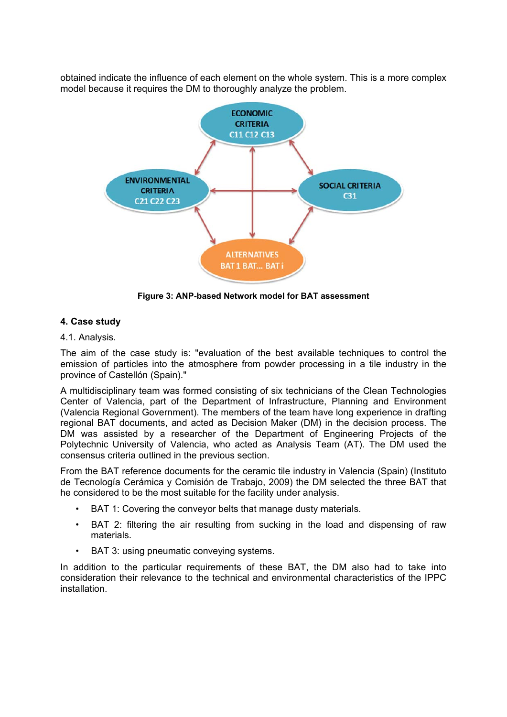obtained indicate the influence of each element on the whole system. This is a more complex model because it requires the DM to thoroughly analyze the problem.



**Figure 3: ANP-based Network model for BAT assessment**

## **4. Case study**

#### 4.1. Analysis.

The aim of the case study is: "evaluation of the best available techniques to control the emission of particles into the atmosphere from powder processing in a tile industry in the province of Castellón (Spain)."

A multidisciplinary team was formed consisting of six technicians of the Clean Technologies Center of Valencia, part of the Department of Infrastructure, Planning and Environment (Valencia Regional Government). The members of the team have long experience in drafting regional BAT documents, and acted as Decision Maker (DM) in the decision process. The DM was assisted by a researcher of the Department of Engineering Projects of the Polytechnic University of Valencia, who acted as Analysis Team (AT). The DM used the consensus criteria outlined in the previous section.

From the BAT reference documents for the ceramic tile industry in Valencia (Spain) (Instituto de Tecnología Cerámica y Comisión de Trabajo, 2009) the DM selected the three BAT that he considered to be the most suitable for the facility under analysis.

- BAT 1: Covering the conveyor belts that manage dusty materials.
- BAT 2: filtering the air resulting from sucking in the load and dispensing of raw materials.
- BAT 3: using pneumatic conveying systems.

In addition to the particular requirements of these BAT, the DM also had to take into consideration their relevance to the technical and environmental characteristics of the IPPC installation.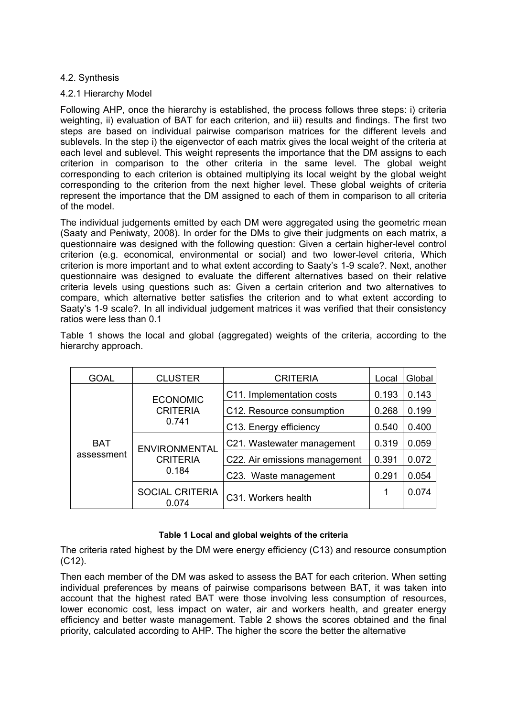## 4.2. Synthesis

## 4.2.1 Hierarchy Model

Following AHP, once the hierarchy is established, the process follows three steps: i) criteria weighting, ii) evaluation of BAT for each criterion, and iii) results and findings. The first two steps are based on individual pairwise comparison matrices for the different levels and sublevels. In the step i) the eigenvector of each matrix gives the local weight of the criteria at each level and sublevel. This weight represents the importance that the DM assigns to each criterion in comparison to the other criteria in the same level. The global weight corresponding to each criterion is obtained multiplying its local weight by the global weight corresponding to the criterion from the next higher level. These global weights of criteria represent the importance that the DM assigned to each of them in comparison to all criteria of the model.

The individual judgements emitted by each DM were aggregated using the geometric mean (Saaty and Peniwaty, 2008). In order for the DMs to give their judgments on each matrix, a questionnaire was designed with the following question: Given a certain higher-level control criterion (e.g. economical, environmental or social) and two lower-level criteria, Which criterion is more important and to what extent according to Saaty's 1-9 scale?. Next, another questionnaire was designed to evaluate the different alternatives based on their relative criteria levels using questions such as: Given a certain criterion and two alternatives to compare, which alternative better satisfies the criterion and to what extent according to Saaty's 1-9 scale?. In all individual judgement matrices it was verified that their consistency ratios were less than 0.1

Table 1 shows the local and global (aggregated) weights of the criteria, according to the hierarchy approach.

| <b>GOAL</b>              | <b>CLUSTER</b>                                   | <b>CRITERIA</b>               | Local | Global |
|--------------------------|--------------------------------------------------|-------------------------------|-------|--------|
|                          | <b>ECONOMIC</b>                                  | C11. Implementation costs     | 0.193 | 0.143  |
|                          | <b>CRITERIA</b>                                  | C12. Resource consumption     | 0.268 | 0.199  |
|                          | 0.741                                            | C13. Energy efficiency        | 0.540 | 0.400  |
| <b>BAT</b><br>assessment | <b>ENVIRONMENTAL</b><br><b>CRITERIA</b><br>0.184 | C21. Wastewater management    | 0.319 | 0.059  |
|                          |                                                  | C22. Air emissions management | 0.391 | 0.072  |
|                          |                                                  | C23. Waste management         | 0.291 | 0.054  |
|                          | <b>SOCIAL CRITERIA</b><br>0.074                  | C31. Workers health           |       | 0.074  |

## **Table 1 Local and global weights of the criteria**

The criteria rated highest by the DM were energy efficiency (C13) and resource consumption (C12).

Then each member of the DM was asked to assess the BAT for each criterion. When setting individual preferences by means of pairwise comparisons between BAT, it was taken into account that the highest rated BAT were those involving less consumption of resources, lower economic cost, less impact on water, air and workers health, and greater energy efficiency and better waste management. Table 2 shows the scores obtained and the final priority, calculated according to AHP. The higher the score the better the alternative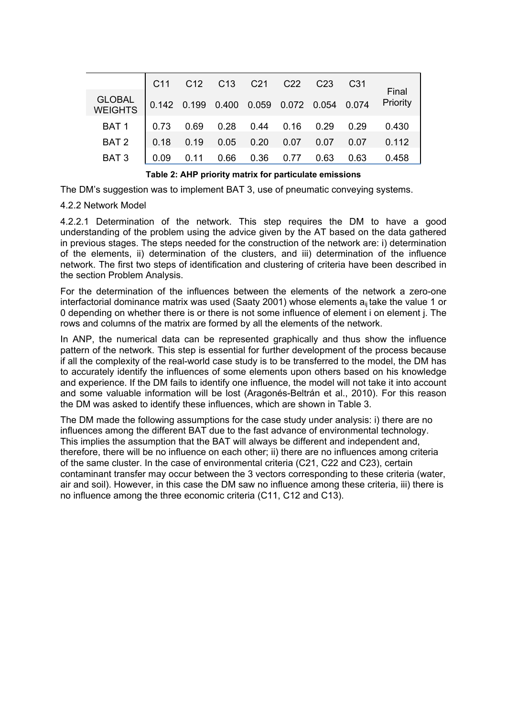|                                 | C <sub>11</sub> | C <sub>12</sub> | C <sub>13</sub> | C <sub>21</sub> | C <sub>22</sub>   | C <sub>23</sub> | C31   |                   |
|---------------------------------|-----------------|-----------------|-----------------|-----------------|-------------------|-----------------|-------|-------------------|
| <b>GLOBAL</b><br><b>WEIGHTS</b> |                 | 0.142 0.199     | 0.400           |                 | 0.059 0.072 0.054 |                 | 0.074 | Final<br>Priority |
| BAT <sub>1</sub>                | 0.73            | 0.69            | 0.28            | 0.44            | 0.16              | 0.29            | 0.29  | 0.430             |
| BAT <sub>2</sub>                | 0.18            | 0.19            | 0.05            | 0.20            | 0.07              | 0.07            | 0.07  | 0.112             |
| BAT <sub>3</sub>                | 0.09            | 0.11            | 0.66            | 0.36            | 0.77              | 0.63            | 0.63  | 0.458             |

### **Table 2: AHP priority matrix for particulate emissions**

The DM's suggestion was to implement BAT 3, use of pneumatic conveying systems.

#### 4.2.2 Network Model

4.2.2.1 Determination of the network. This step requires the DM to have a good understanding of the problem using the advice given by the AT based on the data gathered in previous stages. The steps needed for the construction of the network are: i) determination of the elements, ii) determination of the clusters, and iii) determination of the influence network. The first two steps of identification and clustering of criteria have been described in the section Problem Analysis.

For the determination of the influences between the elements of the network a zero-one interfactorial dominance matrix was used (Saaty 2001) whose elements  $a_{ii}$  take the value 1 or 0 depending on whether there is or there is not some influence of element i on element j. The rows and columns of the matrix are formed by all the elements of the network.

In ANP, the numerical data can be represented graphically and thus show the influence pattern of the network. This step is essential for further development of the process because if all the complexity of the real-world case study is to be transferred to the model, the DM has to accurately identify the influences of some elements upon others based on his knowledge and experience. If the DM fails to identify one influence, the model will not take it into account and some valuable information will be lost (Aragonés-Beltrán et al., 2010). For this reason the DM was asked to identify these influences, which are shown in Table 3.

The DM made the following assumptions for the case study under analysis: i) there are no influences among the different BAT due to the fast advance of environmental technology. This implies the assumption that the BAT will always be different and independent and, therefore, there will be no influence on each other; ii) there are no influences among criteria of the same cluster. In the case of environmental criteria (C21, C22 and C23), certain contaminant transfer may occur between the 3 vectors corresponding to these criteria (water, air and soil). However, in this case the DM saw no influence among these criteria, iii) there is no influence among the three economic criteria (C11, C12 and C13).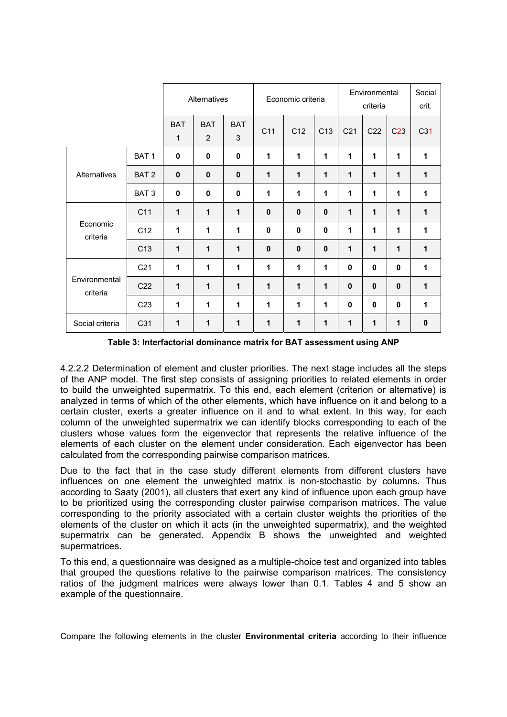| Alternatives              |                  |                 |                 | Economic criteria |                 | Environmental<br>criteria |                 |                 | Social<br>crit. |                 |                 |
|---------------------------|------------------|-----------------|-----------------|-------------------|-----------------|---------------------------|-----------------|-----------------|-----------------|-----------------|-----------------|
|                           |                  | <b>BAT</b><br>1 | <b>BAT</b><br>2 | <b>BAT</b><br>3   | C <sub>11</sub> | C <sub>12</sub>           | C <sub>13</sub> | C <sub>21</sub> | C <sub>22</sub> | C <sub>23</sub> | C <sub>31</sub> |
|                           | BAT <sub>1</sub> | $\mathbf 0$     | $\mathbf 0$     | $\mathbf 0$       | 1               | 1                         | 1               | 1               | 1               | 1               | 1               |
| Alternatives              | BAT <sub>2</sub> | $\mathbf 0$     | $\mathbf 0$     | $\bf{0}$          | 1               | 1                         | 1               | 1               | 1               | 1               | 1               |
|                           | BAT <sub>3</sub> | $\mathbf 0$     | $\mathbf 0$     | $\mathbf 0$       | 1               | 1                         | 1               | 1               | 1               | 1               | 1               |
|                           | C11              | 1               | 1               | 1                 | $\mathbf 0$     | $\mathbf 0$               | $\mathbf 0$     | 1               | 1               | $\mathbf{1}$    | 1               |
| Economic<br>criteria      | C <sub>12</sub>  | 1               | 1               | 1                 | $\mathbf 0$     | $\mathbf 0$               | $\mathbf 0$     | 1               | 1               | 1               | 1               |
|                           | C <sub>13</sub>  | 1               | 1               | 1                 | $\mathbf 0$     | $\bf{0}$                  | $\mathbf 0$     | 1               | 1               | $\mathbf{1}$    | 1               |
|                           | C <sub>21</sub>  | 1               | 1               | 1                 | 1               | 1                         | 1               | $\mathbf 0$     | $\mathbf 0$     | $\mathbf 0$     | 1               |
| Environmental<br>criteria | C <sub>22</sub>  | 1               | 1               | 1                 | 1               | 1                         | 1               | $\mathbf{0}$    | $\mathbf{0}$    | $\mathbf{0}$    | 1               |
|                           | C <sub>23</sub>  | 1               | 1               | 1                 | 1               | 1                         | 1               | 0               | $\mathbf 0$     | $\mathbf 0$     | 1               |
| Social criteria           | C31              | 1               | 1               | 1                 | 1               | 1                         | 1               | 1               | 1               | 1               | $\mathbf 0$     |

**Table 3: Interfactorial dominance matrix for BAT assessment using ANP**

4.2.2.2 Determination of element and cluster priorities. The next stage includes all the steps of the ANP model. The first step consists of assigning priorities to related elements in order to build the unweighted supermatrix. To this end, each element (criterion or alternative) is analyzed in terms of which of the other elements, which have influence on it and belong to a certain cluster, exerts a greater influence on it and to what extent. In this way, for each column of the unweighted supermatrix we can identify blocks corresponding to each of the clusters whose values form the eigenvector that represents the relative influence of the elements of each cluster on the element under consideration. Each eigenvector has been calculated from the corresponding pairwise comparison matrices.

Due to the fact that in the case study different elements from different clusters have influences on one element the unweighted matrix is non-stochastic by columns. Thus according to Saaty (2001), all clusters that exert any kind of influence upon each group have to be prioritized using the corresponding cluster pairwise comparison matrices. The value corresponding to the priority associated with a certain cluster weights the priorities of the elements of the cluster on which it acts (in the unweighted supermatrix), and the weighted supermatrix can be generated. Appendix B shows the unweighted and weighted supermatrices.

To this end, a questionnaire was designed as a multiple-choice test and organized into tables that grouped the questions relative to the pairwise comparison matrices. The consistency ratios of the judgment matrices were always lower than 0.1. Tables 4 and 5 show an example of the questionnaire.

Compare the following elements in the cluster **Environmental criteria** according to their influence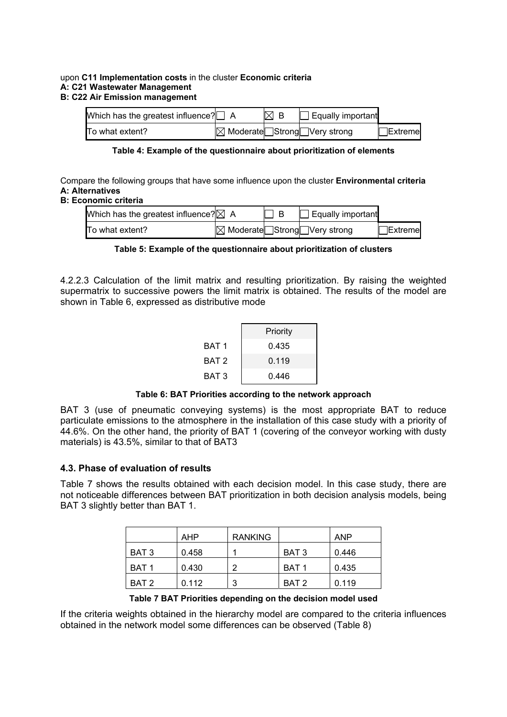#### upon **C11 Implementation costs** in the cluster **Economic criteria A: C21 Wastewater Management B: C22 Air Emission management**

| Which has the greatest influence? $\Box$ A | ⊠ | Equally important             |         |
|--------------------------------------------|---|-------------------------------|---------|
| To what extent?                            |   | ⊠ Moderate Strong Very strong | Extreme |

**Table 4: Example of the questionnaire about prioritization of elements** 

Compare the following groups that have some influence upon the cluster **Environmental criteria A: Alternatives**

## **B: Economic criteria**

| Which has the greatest influence? $\boxtimes$ A |  | Equally important             |                 |
|-------------------------------------------------|--|-------------------------------|-----------------|
| To what extent?                                 |  | ⊠ Moderate Strong Very strong | <b>∐Extreme</b> |

**Table 5: Example of the questionnaire about prioritization of clusters**

4.2.2.3 Calculation of the limit matrix and resulting prioritization. By raising the weighted supermatrix to successive powers the limit matrix is obtained. The results of the model are shown in Table 6, expressed as distributive mode

|                  | Priority |
|------------------|----------|
| <b>BAT1</b>      | 0.435    |
| BAT <sub>2</sub> | 0.119    |
| BAT <sub>3</sub> | 0.446    |

## **Table 6: BAT Priorities according to the network approach**

BAT 3 (use of pneumatic conveying systems) is the most appropriate BAT to reduce particulate emissions to the atmosphere in the installation of this case study with a priority of 44.6%. On the other hand, the priority of BAT 1 (covering of the conveyor working with dusty materials) is 43.5%, similar to that of BAT3

## **4.3. Phase of evaluation of results**

Table 7 shows the results obtained with each decision model. In this case study, there are not noticeable differences between BAT prioritization in both decision analysis models, being BAT 3 slightly better than BAT 1.

|                  | <b>AHP</b> | <b>RANKING</b> |                  | <b>ANP</b> |
|------------------|------------|----------------|------------------|------------|
| BAT <sub>3</sub> | 0.458      |                | BAT <sub>3</sub> | 0.446      |
| BAT <sub>1</sub> | 0.430      | っ              | BAT <sub>1</sub> | 0.435      |
| BAT <sub>2</sub> | 0.112      | 3              | BAT <sub>2</sub> | 0.119      |

**Table 7 BAT Priorities depending on the decision model used** 

If the criteria weights obtained in the hierarchy model are compared to the criteria influences obtained in the network model some differences can be observed (Table 8)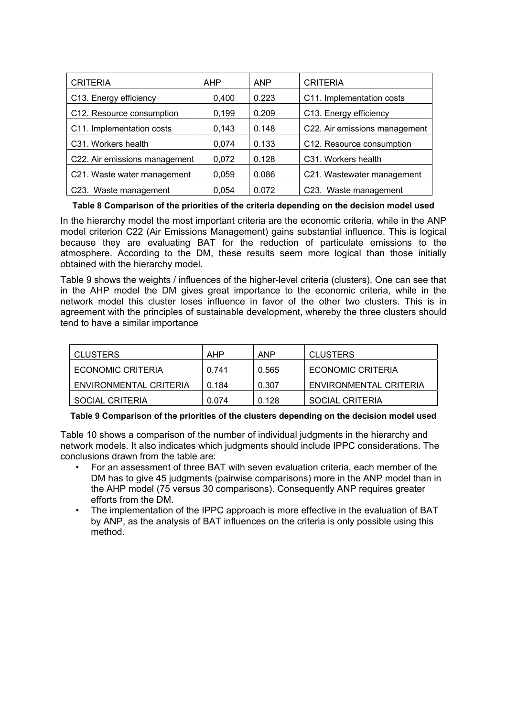| <b>CRITERIA</b>               | <b>AHP</b> | <b>ANP</b> | <b>CRITERIA</b>                  |
|-------------------------------|------------|------------|----------------------------------|
| C13. Energy efficiency        | 0,400      | 0.223      | C11. Implementation costs        |
| C12. Resource consumption     | 0,199      | 0.209      | C13. Energy efficiency           |
| C11. Implementation costs     | 0,143      | 0.148      | C22. Air emissions management    |
| C31. Workers health           | 0,074      | 0.133      | C12. Resource consumption        |
| C22. Air emissions management | 0,072      | 0.128      | C <sub>31</sub> . Workers health |
| C21. Waste water management   | 0,059      | 0.086      | C21. Wastewater management       |
| C23. Waste management         | 0.054      | 0.072      | C23. Waste management            |

#### **Table 8 Comparison of the priorities of the criteria depending on the decision model used**

In the hierarchy model the most important criteria are the economic criteria, while in the ANP model criterion C22 (Air Emissions Management) gains substantial influence. This is logical because they are evaluating BAT for the reduction of particulate emissions to the atmosphere. According to the DM, these results seem more logical than those initially obtained with the hierarchy model.

Table 9 shows the weights / influences of the higher-level criteria (clusters). One can see that in the AHP model the DM gives great importance to the economic criteria, while in the network model this cluster loses influence in favor of the other two clusters. This is in agreement with the principles of sustainable development, whereby the three clusters should tend to have a similar importance

| <b>CLUSTERS</b>               | AHP   | ANP   | <b>CLUSTERS</b>        |
|-------------------------------|-------|-------|------------------------|
| <b>ECONOMIC CRITERIA</b>      | 0.741 | 0.565 | ECONOMIC CRITERIA      |
| <b>ENVIRONMENTAL CRITERIA</b> | 0.184 | 0.307 | ENVIRONMENTAL CRITERIA |
| SOCIAL CRITERIA               | 0.074 | 0.128 | <b>SOCIAL CRITERIA</b> |

#### **Table 9 Comparison of the priorities of the clusters depending on the decision model used**

Table 10 shows a comparison of the number of individual judgments in the hierarchy and network models. It also indicates which judgments should include IPPC considerations. The conclusions drawn from the table are:

- For an assessment of three BAT with seven evaluation criteria, each member of the DM has to give 45 judgments (pairwise comparisons) more in the ANP model than in the AHP model (75 versus 30 comparisons). Consequently ANP requires greater efforts from the DM.
- The implementation of the IPPC approach is more effective in the evaluation of BAT by ANP, as the analysis of BAT influences on the criteria is only possible using this method.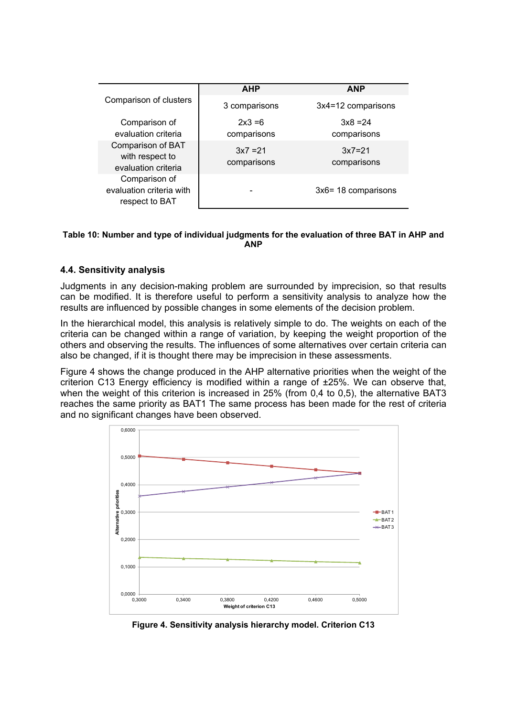|                                                             | <b>AHP</b>                | <b>ANP</b>                |
|-------------------------------------------------------------|---------------------------|---------------------------|
| Comparison of clusters                                      | 3 comparisons             | 3x4=12 comparisons        |
| Comparison of<br>evaluation criteria                        | $2x3 = 6$<br>comparisons  | $3x8 = 24$<br>comparisons |
| Comparison of BAT<br>with respect to<br>evaluation criteria | $3x7 = 21$<br>comparisons | $3x7=21$<br>comparisons   |
| Comparison of<br>evaluation criteria with<br>respect to BAT | $\overline{\phantom{0}}$  | 3x6= 18 comparisons       |



#### **4.4. Sensitivity analysis**

Judgments in any decision-making problem are surrounded by imprecision, so that results can be modified. It is therefore useful to perform a sensitivity analysis to analyze how the results are influenced by possible changes in some elements of the decision problem.

In the hierarchical model, this analysis is relatively simple to do. The weights on each of the criteria can be changed within a range of variation, by keeping the weight proportion of the others and observing the results. The influences of some alternatives over certain criteria can also be changed, if it is thought there may be imprecision in these assessments.

Figure 4 shows the change produced in the AHP alternative priorities when the weight of the criterion C13 Energy efficiency is modified within a range of ±25%. We can observe that, when the weight of this criterion is increased in 25% (from 0,4 to 0,5), the alternative BAT3 reaches the same priority as BAT1 The same process has been made for the rest of criteria and no significant changes have been observed.



**Figure 4. Sensitivity analysis hierarchy model. Criterion C13**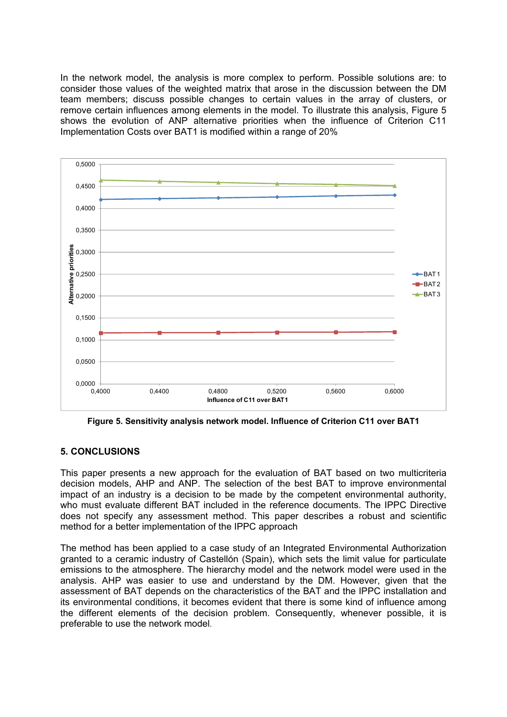In the network model, the analysis is more complex to perform. Possible solutions are: to consider those values of the weighted matrix that arose in the discussion between the DM team members; discuss possible changes to certain values in the array of clusters, or remove certain influences among elements in the model. To illustrate this analysis, Figure 5 shows the evolution of ANP alternative priorities when the influence of Criterion C11 Implementation Costs over BAT1 is modified within a range of 20%



**Figure 5. Sensitivity analysis network model. Influence of Criterion C11 over BAT1** 

## **5. CONCLUSIONS**

This paper presents a new approach for the evaluation of BAT based on two multicriteria decision models, AHP and ANP. The selection of the best BAT to improve environmental impact of an industry is a decision to be made by the competent environmental authority, who must evaluate different BAT included in the reference documents. The IPPC Directive does not specify any assessment method. This paper describes a robust and scientific method for a better implementation of the IPPC approach

The method has been applied to a case study of an Integrated Environmental Authorization granted to a ceramic industry of Castellón (Spain), which sets the limit value for particulate emissions to the atmosphere. The hierarchy model and the network model were used in the analysis. AHP was easier to use and understand by the DM. However, given that the assessment of BAT depends on the characteristics of the BAT and the IPPC installation and its environmental conditions, it becomes evident that there is some kind of influence among the different elements of the decision problem. Consequently, whenever possible, it is preferable to use the network model.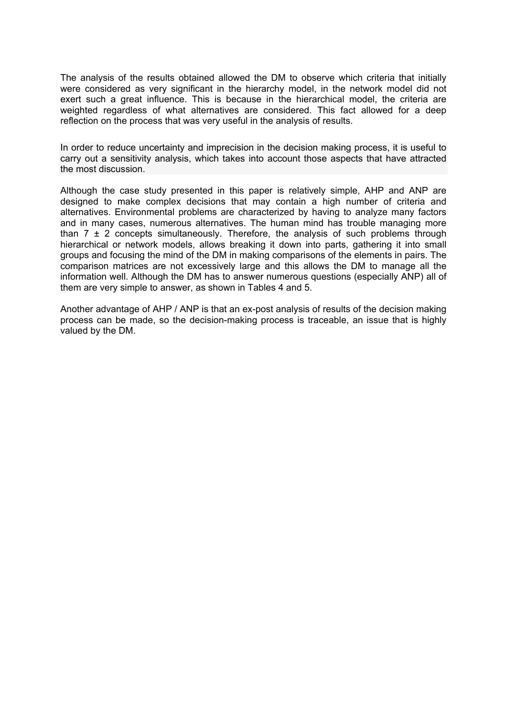The analysis of the results obtained allowed the DM to observe which criteria that initially were considered as very significant in the hierarchy model, in the network model did not exert such a great influence. This is because in the hierarchical model, the criteria are weighted regardless of what alternatives are considered. This fact allowed for a deep reflection on the process that was very useful in the analysis of results.

In order to reduce uncertainty and imprecision in the decision making process, it is useful to carry out a sensitivity analysis, which takes into account those aspects that have attracted the most discussion.

Although the case study presented in this paper is relatively simple, AHP and ANP are designed to make complex decisions that may contain a high number of criteria and alternatives. Environmental problems are characterized by having to analyze many factors and in many cases, numerous alternatives. The human mind has trouble managing more than  $7 \pm 2$  concepts simultaneously. Therefore, the analysis of such problems through hierarchical or network models, allows breaking it down into parts, gathering it into small groups and focusing the mind of the DM in making comparisons of the elements in pairs. The comparison matrices are not excessively large and this allows the DM to manage all the information well. Although the DM has to answer numerous questions (especially ANP) all of them are very simple to answer, as shown in Tables 4 and 5.

Another advantage of AHP / ANP is that an ex-post analysis of results of the decision making process can be made, so the decision-making process is traceable, an issue that is highly valued by the DM.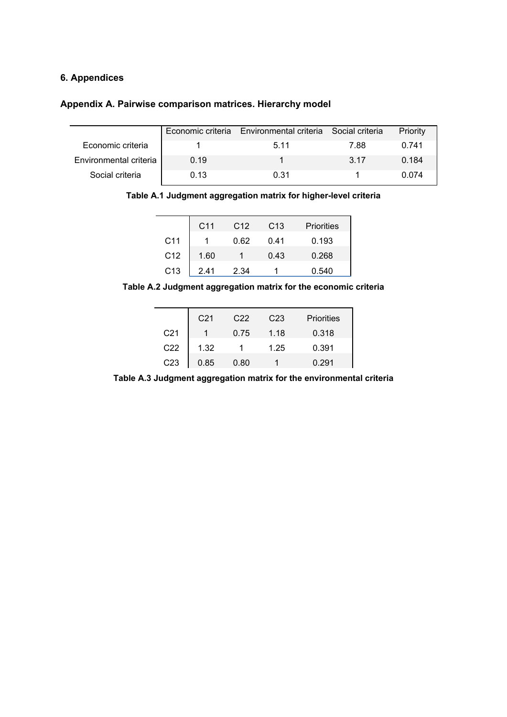## **6. Appendices**

#### **Appendix A. Pairwise comparison matrices. Hierarchy model**

|                        |      | Economic criteria Environmental criteria Social criteria |      | Priority |
|------------------------|------|----------------------------------------------------------|------|----------|
| Economic criteria      |      | 5.11                                                     | 7.88 | በ 741    |
| Environmental criteria | 0.19 |                                                          | 3.17 | 0.184    |
| Social criteria        | 0.13 | 0.31                                                     |      | 0 074    |

**Table A.1 Judgment aggregation matrix for higher-level criteria**

|                 | C <sub>11</sub> | C <sub>12</sub> | C <sub>13</sub> | <b>Priorities</b> |
|-----------------|-----------------|-----------------|-----------------|-------------------|
| C <sub>11</sub> |                 | 0.62            | 0.41            | 0.193             |
| C <sub>12</sub> | 1.60            |                 | 0.43            | 0.268             |
| C <sub>13</sub> | 2.41            | 2.34            |                 | 0.540             |
|                 |                 |                 |                 |                   |

**Table A.2 Judgment aggregation matrix for the economic criteria**

|                 | C <sub>21</sub> | C <sub>22</sub> | C23  | <b>Priorities</b> |
|-----------------|-----------------|-----------------|------|-------------------|
| C <sub>21</sub> |                 | 0.75            | 1.18 | 0.318             |
| C <sub>22</sub> | 1.32            |                 | 1.25 | 0.391             |
| C <sub>23</sub> | 0.85            | 0.80            |      | 0.291             |

**Table A.3 Judgment aggregation matrix for the environmental criteria**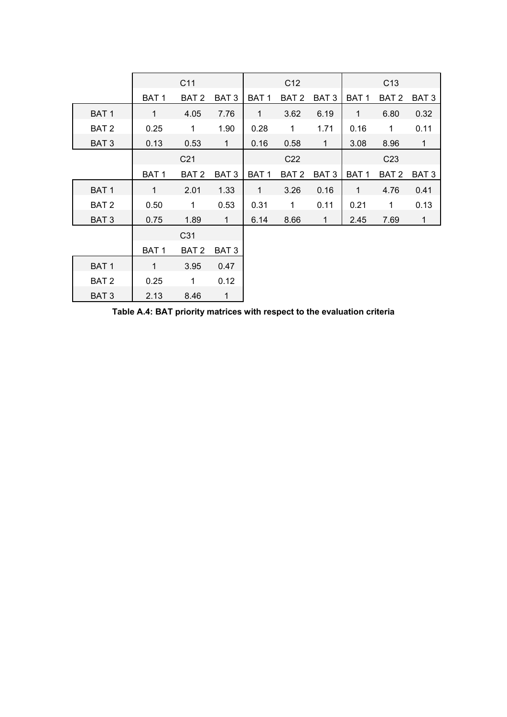|                  | C11              |                  |                  |                  | C <sub>12</sub>  |                  | C <sub>13</sub>  |                  |                  |  |
|------------------|------------------|------------------|------------------|------------------|------------------|------------------|------------------|------------------|------------------|--|
|                  | BAT <sub>1</sub> | BAT <sub>2</sub> | BAT <sub>3</sub> | BAT <sub>1</sub> | BAT <sub>2</sub> | BAT <sub>3</sub> | BAT <sub>1</sub> | BAT <sub>2</sub> | BAT <sub>3</sub> |  |
| BAT <sub>1</sub> | 1                | 4.05             | 7.76             | 1                | 3.62             | 6.19             | 1                | 6.80             | 0.32             |  |
| BAT <sub>2</sub> | 0.25             | 1                | 1.90             | 0.28             | 1                | 1.71             | 0.16             | 1                | 0.11             |  |
| BAT <sub>3</sub> | 0.13<br>0.53     |                  | $\mathbf 1$      | 0.16<br>0.58     |                  | 1                | 3.08             | 8.96             | $\mathbf{1}$     |  |
|                  |                  | C <sub>21</sub>  |                  |                  | C <sub>22</sub>  |                  |                  | C <sub>23</sub>  |                  |  |
|                  | BAT <sub>1</sub> | BAT <sub>2</sub> | BAT <sub>3</sub> | BAT <sub>1</sub> | BAT <sub>2</sub> | BAT <sub>3</sub> | BAT <sub>1</sub> | BAT <sub>2</sub> | BAT <sub>3</sub> |  |
| BAT <sub>1</sub> | 1                | 2.01             | 1.33             | 1                | 3.26             | 0.16             | 1                | 4.76             | 0.41             |  |
| BAT <sub>2</sub> | 0.50             | 1                | 0.53             | 0.31             | 1                | 0.11             | 0.21             | 1                | 0.13             |  |
| BAT <sub>3</sub> | 0.75             | 1.89             | $\mathbf{1}$     | 6.14             | 8.66             | 1                | 2.45             | 7.69             | 1                |  |
|                  |                  | C31              |                  |                  |                  |                  |                  |                  |                  |  |
|                  | BAT <sub>1</sub> | BAT <sub>2</sub> | BAT <sub>3</sub> |                  |                  |                  |                  |                  |                  |  |
| BAT <sub>1</sub> | 1                | 3.95             | 0.47             |                  |                  |                  |                  |                  |                  |  |
| BAT <sub>2</sub> | 0.25             | 1                | 0.12             |                  |                  |                  |                  |                  |                  |  |
| BAT <sub>3</sub> | 2.13             | 8.46             | 1                |                  |                  |                  |                  |                  |                  |  |

**Table A.4: BAT priority matrices with respect to the evaluation criteria**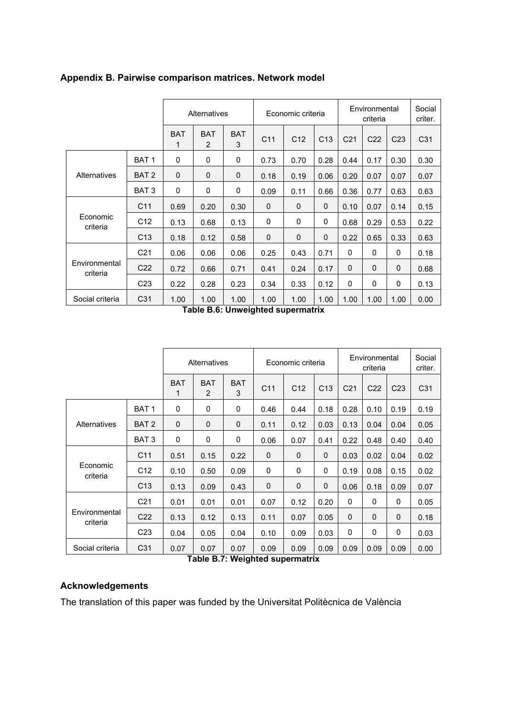|                           |                  | Alternatives    |                 |                 | Economic criteria |                 |                 | Environmental<br>criteria |                 |                 | Social<br>criter. |
|---------------------------|------------------|-----------------|-----------------|-----------------|-------------------|-----------------|-----------------|---------------------------|-----------------|-----------------|-------------------|
|                           |                  | <b>BAT</b><br>1 | <b>BAT</b><br>2 | <b>BAT</b><br>3 | C <sub>11</sub>   | C <sub>12</sub> | C <sub>13</sub> | C <sub>21</sub>           | C <sub>22</sub> | C <sub>23</sub> | C31               |
|                           | BAT <sub>1</sub> | 0               | 0               | 0               | 0.73              | 0.70            | 0.28            | 0.44                      | 0.17            | 0.30            | 0.30              |
| Alternatives              | BAT <sub>2</sub> | $\mathbf 0$     | 0               | 0               | 0.18              | 0.19            | 0.06            | 0.20                      | 0.07            | 0.07            | 0.07              |
|                           | BAT <sub>3</sub> | 0               | 0               | 0               | 0.09              | 0.11            | 0.66            | 0.36                      | 0.77            | 0.63            | 0.63              |
| Economic<br>criteria      | C <sub>11</sub>  | 0.69            | 0.20            | 0.30            | $\mathbf 0$       | 0               | 0               | 0.10                      | 0.07            | 0.14            | 0.15              |
|                           | C <sub>12</sub>  | 0.13            | 0.68            | 0.13            | 0                 | 0               | 0               | 0.68                      | 0.29            | 0.53            | 0.22              |
|                           | C <sub>13</sub>  | 0.18            | 0.12            | 0.58            | $\mathbf 0$       | 0               | $\mathbf 0$     | 0.22                      | 0.65            | 0.33            | 0.63              |
| Environmental<br>criteria | C <sub>21</sub>  | 0.06            | 0.06            | 0.06            | 0.25              | 0.43            | 0.71            | 0                         | 0               | 0               | 0.18              |
|                           | C <sub>22</sub>  | 0.72            | 0.66            | 0.71            | 0.41              | 0.24            | 0.17            | $\mathbf 0$               | 0               | 0               | 0.68              |
|                           | C <sub>23</sub>  | 0.22            | 0.28            | 0.23            | 0.34              | 0.33            | 0.12            | 0                         | 0               | 0               | 0.13              |
| Social criteria           | C <sub>31</sub>  | 1.00            | 1.00            | 1.00            | 1.00              | 1.00            | 1.00            | 1.00                      | 1.00            | 1.00            | 0.00              |

## **Appendix B. Pairwise comparison matrices. Network model**

**Table B.6: Unweighted supermatrix** 

|                           |                  | Alternatives    |                 |                 | Economic criteria |                 |                 | Environmental<br>criteria |                 |                 | Social<br>criter. |
|---------------------------|------------------|-----------------|-----------------|-----------------|-------------------|-----------------|-----------------|---------------------------|-----------------|-----------------|-------------------|
|                           |                  | <b>BAT</b><br>1 | <b>BAT</b><br>2 | <b>BAT</b><br>3 | C <sub>11</sub>   | C <sub>12</sub> | C <sub>13</sub> | C <sub>21</sub>           | C <sub>22</sub> | C <sub>23</sub> | C <sub>31</sub>   |
|                           | BAT <sub>1</sub> | 0               | 0               | 0               | 0.46              | 0.44            | 0.18            | 0.28                      | 0.10            | 0.19            | 0.19              |
| Alternatives              | BAT <sub>2</sub> | 0               | 0               | 0               | 0.11              | 0.12            | 0.03            | 0.13                      | 0.04            | 0.04            | 0.05              |
|                           | BAT <sub>3</sub> | 0               | 0               | 0               | 0.06              | 0.07            | 0.41            | 0.22                      | 0.48            | 0.40            | 0.40              |
| Economic<br>criteria      | C <sub>11</sub>  | 0.51            | 0.15            | 0.22            | 0                 | 0               | 0               | 0.03                      | 0.02            | 0.04            | 0.02              |
|                           | C <sub>12</sub>  | 0.10            | 0.50            | 0.09            | 0                 | 0               | 0               | 0.19                      | 0.08            | 0.15            | 0.02              |
|                           | C <sub>13</sub>  | 0.13            | 0.09            | 0.43            | 0                 | 0               | $\mathbf 0$     | 0.06                      | 0.18            | 0.09            | 0.07              |
| Environmental<br>criteria | C <sub>21</sub>  | 0.01            | 0.01            | 0.01            | 0.07              | 0.12            | 0.20            | $\mathbf 0$               | 0               | 0               | 0.05              |
|                           | C <sub>22</sub>  | 0.13            | 0.12            | 0.13            | 0.11              | 0.07            | 0.05            | $\mathbf 0$               | $\mathbf 0$     | $\mathbf 0$     | 0.18              |
|                           | C <sub>23</sub>  | 0.04            | 0.05            | 0.04            | 0.10              | 0.09            | 0.03            | $\mathbf{0}$              | $\Omega$        | 0               | 0.03              |
| Social criteria           | C <sub>31</sub>  | 0.07            | 0.07            | 0.07            | 0.09              | 0.09            | 0.09            | 0.09                      | 0.09            | 0.09            | 0.00              |

**Table B.7: Weighted supermatrix** 

## **Acknowledgements**

The translation of this paper was funded by the Universitat Politècnica de València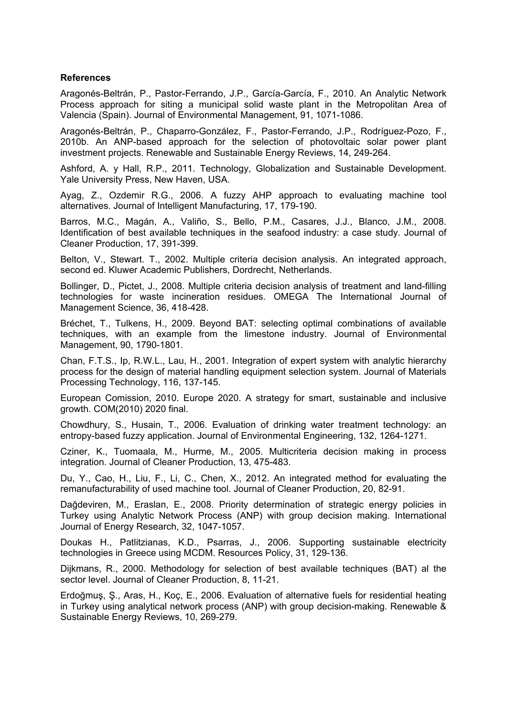### **References**

Aragonés-Beltrán, P., Pastor-Ferrando, J.P., García-García, F., 2010. An Analytic Network Process approach for siting a municipal solid waste plant in the Metropolitan Area of Valencia (Spain). Journal of Environmental Management, 91, 1071-1086.

Aragonés-Beltrán, P., Chaparro-González, F., Pastor-Ferrando, J.P., Rodríguez-Pozo, F., 2010b. An ANP-based approach for the selection of photovoltaic solar power plant investment projects. Renewable and Sustainable Energy Reviews, 14, 249-264.

Ashford, A. y Hall, R.P., 2011. Technology, Globalization and Sustainable Development. Yale University Press, New Haven, USA.

Ayag, Z., Ozdemir R.G., 2006. A fuzzy AHP approach to evaluating machine tool alternatives. Journal of Intelligent Manufacturing, 17, 179-190.

Barros, M.C., Magán, A., Valiño, S., Bello, P.M., Casares, J.J., Blanco, J.M., 2008. Identification of best available techniques in the seafood industry: a case study. Journal of Cleaner Production, 17, 391-399.

Belton, V., Stewart. T., 2002. Multiple criteria decision analysis. An integrated approach, second ed. Kluwer Academic Publishers, Dordrecht, Netherlands.

Bollinger, D., Pictet, J., 2008. Multiple criteria decision analysis of treatment and land-filling technologies for waste incineration residues. OMEGA The International Journal of Management Science, 36, 418-428.

Bréchet, T., Tulkens, H., 2009. Beyond BAT: selecting optimal combinations of available techniques, with an example from the limestone industry. Journal of Environmental Management, 90, 1790-1801.

Chan, F.T.S., Ip, R.W.L., Lau, H., 2001. Integration of expert system with analytic hierarchy process for the design of material handling equipment selection system. Journal of Materials Processing Technology, 116, 137-145.

European Comission, 2010. Europe 2020. A strategy for smart, sustainable and inclusive growth. COM(2010) 2020 final.

Chowdhury, S., Husain, T., 2006. Evaluation of drinking water treatment technology: an entropy-based fuzzy application. Journal of Environmental Engineering, 132, 1264-1271.

Cziner, K., Tuomaala, M., Hurme, M., 2005. Multicriteria decision making in process integration. Journal of Cleaner Production, 13, 475-483.

Du, Y., Cao, H., Liu, F., Li, C., Chen, X., 2012. An integrated method for evaluating the remanufacturability of used machine tool. Journal of Cleaner Production, 20, 82-91.

Dağdeviren, M., Eraslan, E., 2008. Priority determination of strategic energy policies in Turkey using Analytic Network Process (ANP) with group decision making. International Journal of Energy Research, 32, 1047-1057.

Doukas H., Patlitzianas, K.D., Psarras, J., 2006. Supporting sustainable electricity technologies in Greece using MCDM. Resources Policy, 31, 129-136.

Dijkmans, R., 2000. Methodology for selection of best available techniques (BAT) al the sector level. Journal of Cleaner Production, 8, 11-21.

Erdoğmuş, Ş., Aras, H., Koç, E., 2006. Evaluation of alternative fuels for residential heating in Turkey using analytical network process (ANP) with group decision-making. Renewable & Sustainable Energy Reviews, 10, 269-279.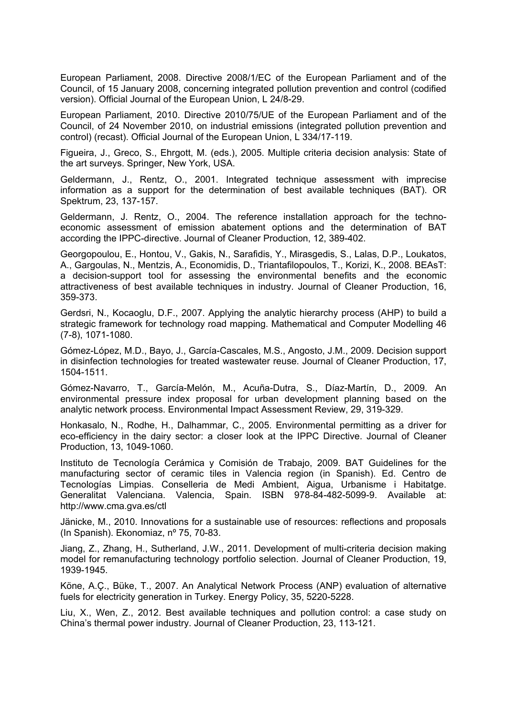European Parliament, 2008. Directive 2008/1/EC of the European Parliament and of the Council, of 15 January 2008, concerning integrated pollution prevention and control (codified version). Official Journal of the European Union, L 24/8-29.

European Parliament, 2010. Directive 2010/75/UE of the European Parliament and of the Council, of 24 November 2010, on industrial emissions (integrated pollution prevention and control) (recast). Official Journal of the European Union, L 334/17-119.

Figueira, J., Greco, S., Ehrgott, M. (eds.), 2005. Multiple criteria decision analysis: State of the art surveys. Springer, New York, USA.

Geldermann, J., Rentz, O., 2001. Integrated technique assessment with imprecise information as a support for the determination of best available techniques (BAT). OR Spektrum, 23, 137-157.

Geldermann, J. Rentz, O., 2004. The reference installation approach for the technoeconomic assessment of emission abatement options and the determination of BAT according the IPPC-directive. Journal of Cleaner Production, 12, 389-402.

Georgopoulou, E., Hontou, V., Gakis, N., Sarafidis, Y., Mirasgedis, S., Lalas, D.P., Loukatos, A., Gargoulas, N., Mentzis, A., Economidis, D., Triantafilopoulos, T., Korizi, K., 2008. BEAsT: a decision-support tool for assessing the environmental benefits and the economic attractiveness of best available techniques in industry. Journal of Cleaner Production, 16, 359-373.

Gerdsri, N., Kocaoglu, D.F., 2007. Applying the analytic hierarchy process (AHP) to build a strategic framework for technology road mapping. Mathematical and Computer Modelling 46 (7-8), 1071-1080.

Gómez-López, M.D., Bayo, J., García-Cascales, M.S., Angosto, J.M., 2009. Decision support in disinfection technologies for treated wastewater reuse. Journal of Cleaner Production, 17, 1504-1511.

Gómez-Navarro, T., García-Melón, M., Acuña-Dutra, S., Díaz-Martín, D., 2009. An environmental pressure index proposal for urban development planning based on the analytic network process. Environmental Impact Assessment Review, 29, 319-329.

Honkasalo, N., Rodhe, H., Dalhammar, C., 2005. Environmental permitting as a driver for eco-efficiency in the dairy sector: a closer look at the IPPC Directive. Journal of Cleaner Production, 13, 1049-1060.

Instituto de Tecnología Cerámica y Comisión de Trabajo, 2009. BAT Guidelines for the manufacturing sector of ceramic tiles in Valencia region (in Spanish). Ed. Centro de Tecnologías Limpias. Conselleria de Medi Ambient, Aigua, Urbanisme i Habitatge. Generalitat Valenciana. Valencia, Spain. ISBN 978-84-482-5099-9. Available at: http://www.cma.gva.es/ctl

Jänicke, M., 2010. Innovations for a sustainable use of resources: reflections and proposals (In Spanish). Ekonomiaz, nº 75, 70-83.

Jiang, Z., Zhang, H., Sutherland, J.W., 2011. Development of multi-criteria decision making model for remanufacturing technology portfolio selection. Journal of Cleaner Production, 19, 1939-1945.

Köne, A.Ç., Büke, T., 2007. An Analytical Network Process (ANP) evaluation of alternative fuels for electricity generation in Turkey. Energy Policy, 35, 5220-5228.

Liu, X., Wen, Z., 2012. Best available techniques and pollution control: a case study on China's thermal power industry. Journal of Cleaner Production, 23, 113-121.